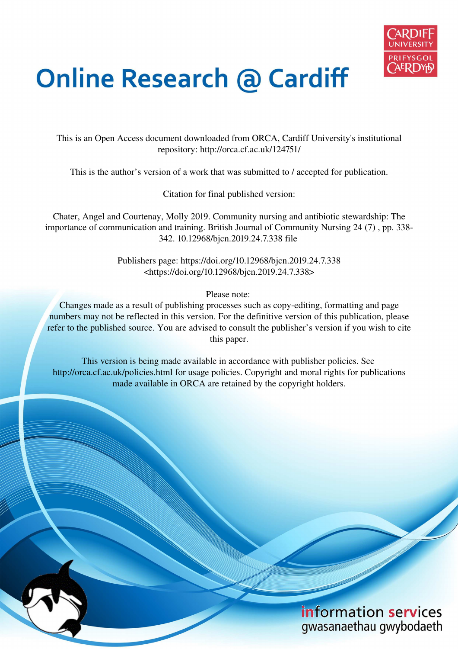

# **Online Research @ Cardiff**

This is an Open Access document downloaded from ORCA, Cardiff University's institutional repository: http://orca.cf.ac.uk/124751/

This is the author's version of a work that was submitted to / accepted for publication.

Citation for final published version:

Chater, Angel and Courtenay, Molly 2019. Community nursing and antibiotic stewardship: The importance of communication and training. British Journal of Community Nursing 24 (7) , pp. 338- 342. 10.12968/bjcn.2019.24.7.338 file

> Publishers page: https://doi.org/10.12968/bjcn.2019.24.7.338 <https://doi.org/10.12968/bjcn.2019.24.7.338>

> > Please note:

Changes made as a result of publishing processes such as copy-editing, formatting and page numbers may not be reflected in this version. For the definitive version of this publication, please refer to the published source. You are advised to consult the publisher's version if you wish to cite this paper.

This version is being made available in accordance with publisher policies. See http://orca.cf.ac.uk/policies.html for usage policies. Copyright and moral rights for publications made available in ORCA are retained by the copyright holders.

# information services gwasanaethau gwybodaeth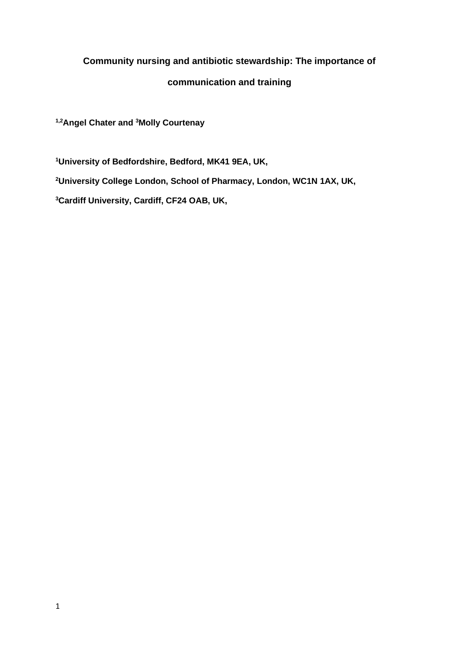## **Community nursing and antibiotic stewardship: The importance of**

## **communication and training**

**1,2Angel Chater and <sup>3</sup>Molly Courtenay** 

**<sup>1</sup>University of Bedfordshire, Bedford, MK41 9EA, UK,** 

**<sup>2</sup>University College London, School of Pharmacy, London, WC1N 1AX, UK,** 

**<sup>3</sup>Cardiff University, Cardiff, CF24 OAB, UK,**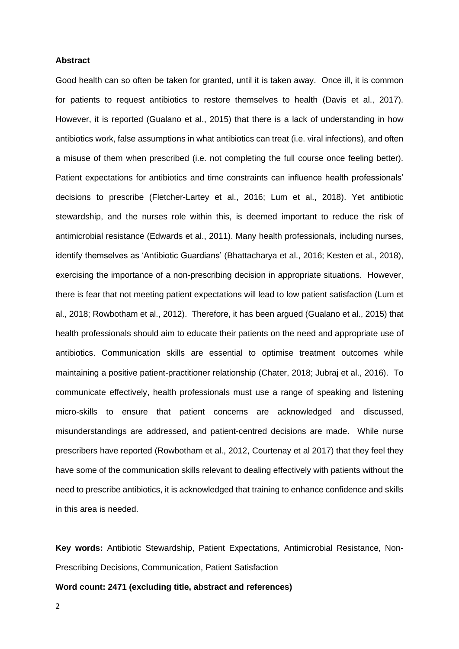#### **Abstract**

Good health can so often be taken for granted, until it is taken away. Once ill, it is common for patients to request antibiotics to restore themselves to health (Davis et al., 2017). However, it is reported (Gualano et al., 2015) that there is a lack of understanding in how antibiotics work, false assumptions in what antibiotics can treat (i.e. viral infections), and often a misuse of them when prescribed (i.e. not completing the full course once feeling better). Patient expectations for antibiotics and time constraints can influence health professionals' decisions to prescribe (Fletcher-Lartey et al., 2016; Lum et al., 2018). Yet antibiotic stewardship, and the nurses role within this, is deemed important to reduce the risk of antimicrobial resistance (Edwards et al., 2011). Many health professionals, including nurses, identify themselves as 'Antibiotic Guardians' (Bhattacharya et al., 2016; Kesten et al., 2018), exercising the importance of a non-prescribing decision in appropriate situations. However, there is fear that not meeting patient expectations will lead to low patient satisfaction (Lum et al., 2018; Rowbotham et al., 2012). Therefore, it has been argued (Gualano et al., 2015) that health professionals should aim to educate their patients on the need and appropriate use of antibiotics. Communication skills are essential to optimise treatment outcomes while maintaining a positive patient-practitioner relationship (Chater, 2018; Jubraj et al., 2016). To communicate effectively, health professionals must use a range of speaking and listening micro-skills to ensure that patient concerns are acknowledged and discussed, misunderstandings are addressed, and patient-centred decisions are made. While nurse prescribers have reported (Rowbotham et al., 2012, Courtenay et al 2017) that they feel they have some of the communication skills relevant to dealing effectively with patients without the need to prescribe antibiotics, it is acknowledged that training to enhance confidence and skills in this area is needed.

**Key words:** Antibiotic Stewardship, Patient Expectations, Antimicrobial Resistance, Non-Prescribing Decisions, Communication, Patient Satisfaction

**Word count: 2471 (excluding title, abstract and references)**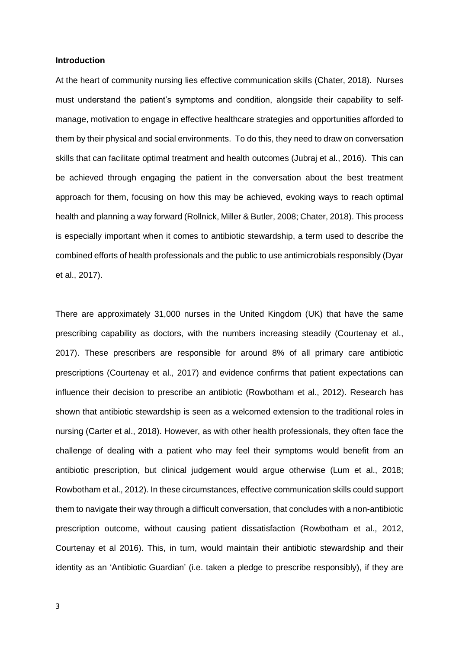#### **Introduction**

At the heart of community nursing lies effective communication skills (Chater, 2018). Nurses must understand the patient's symptoms and condition, alongside their capability to selfmanage, motivation to engage in effective healthcare strategies and opportunities afforded to them by their physical and social environments. To do this, they need to draw on conversation skills that can facilitate optimal treatment and health outcomes (Jubraj et al., 2016). This can be achieved through engaging the patient in the conversation about the best treatment approach for them, focusing on how this may be achieved, evoking ways to reach optimal health and planning a way forward (Rollnick, Miller & Butler, 2008; Chater, 2018). This process is especially important when it comes to antibiotic stewardship, a term used to describe the combined efforts of health professionals and the public to use antimicrobials responsibly (Dyar et al., 2017).

There are approximately 31,000 nurses in the United Kingdom (UK) that have the same prescribing capability as doctors, with the numbers increasing steadily (Courtenay et al., 2017). These prescribers are responsible for around 8% of all primary care antibiotic prescriptions (Courtenay et al., 2017) and evidence confirms that patient expectations can influence their decision to prescribe an antibiotic (Rowbotham et al., 2012). Research has shown that antibiotic stewardship is seen as a welcomed extension to the traditional roles in nursing (Carter et al., 2018). However, as with other health professionals, they often face the challenge of dealing with a patient who may feel their symptoms would benefit from an antibiotic prescription, but clinical judgement would argue otherwise (Lum et al., 2018; Rowbotham et al., 2012). In these circumstances, effective communication skills could support them to navigate their way through a difficult conversation, that concludes with a non-antibiotic prescription outcome, without causing patient dissatisfaction (Rowbotham et al., 2012, Courtenay et al 2016). This, in turn, would maintain their antibiotic stewardship and their identity as an 'Antibiotic Guardian' (i.e. taken a pledge to prescribe responsibly), if they are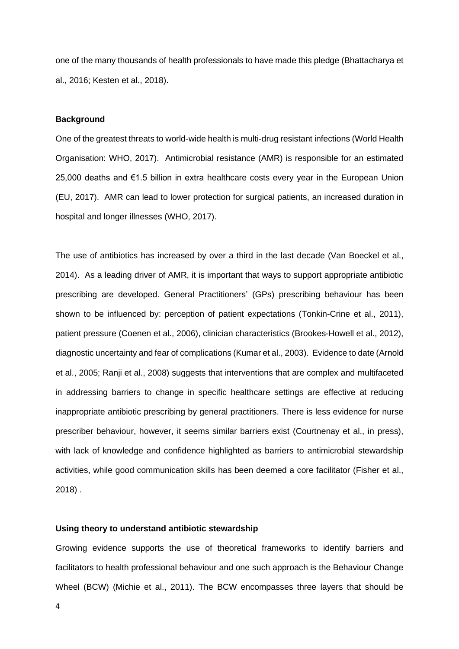one of the many thousands of health professionals to have made this pledge (Bhattacharya et al., 2016; Kesten et al., 2018).

#### **Background**

One of the greatest threats to world-wide health is multi-drug resistant infections (World Health Organisation: WHO, 2017). Antimicrobial resistance (AMR) is responsible for an estimated 25,000 deaths and €1.5 billion in extra healthcare costs every year in the European Union (EU, 2017). AMR can lead to lower protection for surgical patients, an increased duration in hospital and longer illnesses (WHO, 2017).

The use of antibiotics has increased by over a third in the last decade (Van Boeckel et al., 2014). As a leading driver of AMR, it is important that ways to support appropriate antibiotic prescribing are developed. General Practitioners' (GPs) prescribing behaviour has been shown to be influenced by: perception of patient expectations (Tonkin-Crine et al., 2011), patient pressure (Coenen et al., 2006), clinician characteristics [\(Brookes-Howell](http://bmjopen.bmj.com/search?author1=Lucy+Brookes-Howell&sortspec=date&submit=Submit) et al., 2012), diagnostic uncertainty and fear of complications (Kumar et al., 2003). Evidence to date (Arnold et al., 2005; Ranji et al., 2008) suggests that interventions that are complex and multifaceted in addressing barriers to change in specific healthcare settings are effective at reducing inappropriate antibiotic prescribing by general practitioners. There is less evidence for nurse prescriber behaviour, however, it seems similar barriers exist (Courtnenay et al., in press), with lack of knowledge and confidence highlighted as barriers to antimicrobial stewardship activities, while good communication skills has been deemed a core facilitator (Fisher et al., 2018) .

#### **Using theory to understand antibiotic stewardship**

Growing evidence supports the use of theoretical frameworks to identify barriers and facilitators to health professional behaviour and one such approach is the Behaviour Change Wheel (BCW) (Michie et al., 2011). The BCW encompasses three layers that should be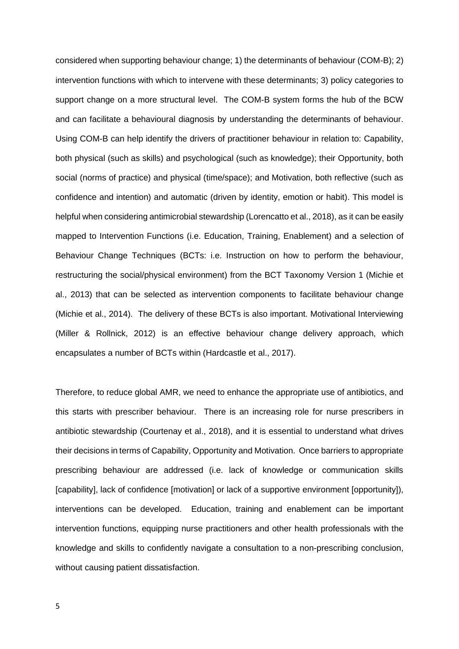considered when supporting behaviour change; 1) the determinants of behaviour (COM-B); 2) intervention functions with which to intervene with these determinants; 3) policy categories to support change on a more structural level. The COM-B system forms the hub of the BCW and can facilitate a behavioural diagnosis by understanding the determinants of behaviour. Using COM-B can help identify the drivers of practitioner behaviour in relation to: Capability, both physical (such as skills) and psychological (such as knowledge); their Opportunity, both social (norms of practice) and physical (time/space); and Motivation, both reflective (such as confidence and intention) and automatic (driven by identity, emotion or habit). This model is helpful when considering antimicrobial stewardship (Lorencatto et al., 2018), as it can be easily mapped to Intervention Functions (i.e. Education, Training, Enablement) and a selection of Behaviour Change Techniques (BCTs: i.e. Instruction on how to perform the behaviour, restructuring the social/physical environment) from the BCT Taxonomy Version 1 (Michie et al., 2013) that can be selected as intervention components to facilitate behaviour change (Michie et al., 2014). The delivery of these BCTs is also important. Motivational Interviewing (Miller & Rollnick, 2012) is an effective behaviour change delivery approach, which encapsulates a number of BCTs within (Hardcastle et al., 2017).

Therefore, to reduce global AMR, we need to enhance the appropriate use of antibiotics, and this starts with prescriber behaviour. There is an increasing role for nurse prescribers in antibiotic stewardship (Courtenay et al., 2018), and it is essential to understand what drives their decisions in terms of Capability, Opportunity and Motivation. Once barriers to appropriate prescribing behaviour are addressed (i.e. lack of knowledge or communication skills [capability], lack of confidence [motivation] or lack of a supportive environment [opportunity]), interventions can be developed. Education, training and enablement can be important intervention functions, equipping nurse practitioners and other health professionals with the knowledge and skills to confidently navigate a consultation to a non-prescribing conclusion, without causing patient dissatisfaction.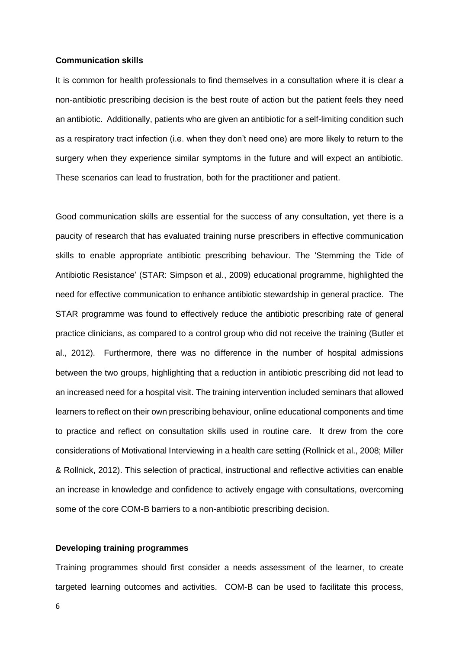#### **Communication skills**

It is common for health professionals to find themselves in a consultation where it is clear a non-antibiotic prescribing decision is the best route of action but the patient feels they need an antibiotic. Additionally, patients who are given an antibiotic for a self-limiting condition such as a respiratory tract infection (i.e. when they don't need one) are more likely to return to the surgery when they experience similar symptoms in the future and will expect an antibiotic. These scenarios can lead to frustration, both for the practitioner and patient.

Good communication skills are essential for the success of any consultation, yet there is a paucity of research that has evaluated training nurse prescribers in effective communication skills to enable appropriate antibiotic prescribing behaviour. The 'Stemming the Tide of Antibiotic Resistance' (STAR: Simpson et al., 2009) educational programme, highlighted the need for effective communication to enhance antibiotic stewardship in general practice. The STAR programme was found to effectively reduce the antibiotic prescribing rate of general practice clinicians, as compared to a control group who did not receive the training (Butler et al., 2012). Furthermore, there was no difference in the number of hospital admissions between the two groups, highlighting that a reduction in antibiotic prescribing did not lead to an increased need for a hospital visit. The training intervention included seminars that allowed learners to reflect on their own prescribing behaviour, online educational components and time to practice and reflect on consultation skills used in routine care. It drew from the core considerations of Motivational Interviewing in a health care setting (Rollnick et al., 2008; Miller & Rollnick, 2012). This selection of practical, instructional and reflective activities can enable an increase in knowledge and confidence to actively engage with consultations, overcoming some of the core COM-B barriers to a non-antibiotic prescribing decision.

#### **Developing training programmes**

Training programmes should first consider a needs assessment of the learner, to create targeted learning outcomes and activities. COM-B can be used to facilitate this process,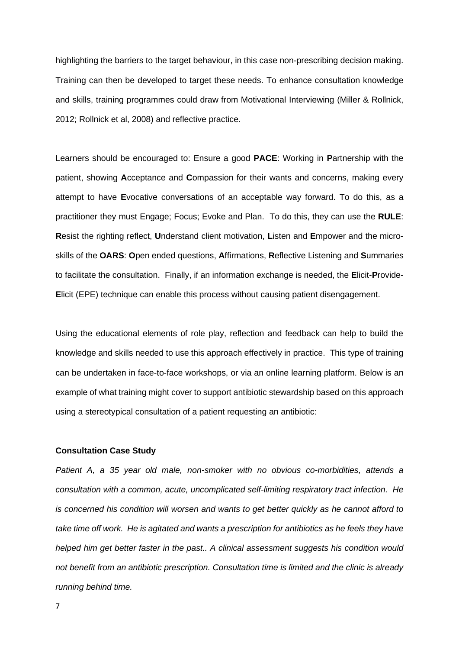highlighting the barriers to the target behaviour, in this case non-prescribing decision making. Training can then be developed to target these needs. To enhance consultation knowledge and skills, training programmes could draw from Motivational Interviewing (Miller & Rollnick, 2012; Rollnick et al, 2008) and reflective practice.

Learners should be encouraged to: Ensure a good **PACE**: Working in **P**artnership with the patient, showing **A**cceptance and **C**ompassion for their wants and concerns, making every attempt to have **E**vocative conversations of an acceptable way forward. To do this, as a practitioner they must Engage; Focus; Evoke and Plan. To do this, they can use the **RULE**: **R**esist the righting reflect, **U**nderstand client motivation, **L**isten and **E**mpower and the microskills of the **OARS**: **O**pen ended questions, **A**ffirmations, **R**eflective Listening and **S**ummaries to facilitate the consultation. Finally, if an information exchange is needed, the **E**licit-**P**rovide-**E**licit (EPE) technique can enable this process without causing patient disengagement.

Using the educational elements of role play, reflection and feedback can help to build the knowledge and skills needed to use this approach effectively in practice. This type of training can be undertaken in face-to-face workshops, or via an online learning platform. Below is an example of what training might cover to support antibiotic stewardship based on this approach using a stereotypical consultation of a patient requesting an antibiotic:

#### **Consultation Case Study**

Patient A, a 35 year old male, non-smoker with no obvious co-morbidities, attends a consultation with a common, acute, uncomplicated self-limiting respiratory tract infection. He is concerned his condition will worsen and wants to get better quickly as he cannot afford to take time off work. He is agitated and wants a prescription for antibiotics as he feels they have helped him get better faster in the past.. A clinical assessment suggests his condition would not benefit from an antibiotic prescription. Consultation time is limited and the clinic is already running behind time.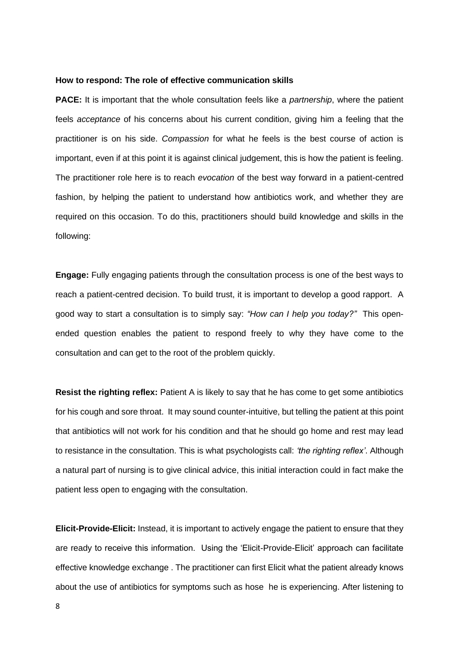#### **How to respond: The role of effective communication skills**

**PACE:** It is important that the whole consultation feels like a *partnership*, where the patient feels acceptance of his concerns about his current condition, giving him a feeling that the practitioner is on his side. Compassion for what he feels is the best course of action is important, even if at this point it is against clinical judgement, this is how the patient is feeling. The practitioner role here is to reach evocation of the best way forward in a patient-centred fashion, by helping the patient to understand how antibiotics work, and whether they are required on this occasion. To do this, practitioners should build knowledge and skills in the following:

**Engage:** Fully engaging patients through the consultation process is one of the best ways to reach a patient-centred decision. To build trust, it is important to develop a good rapport. A good way to start a consultation is to simply say: *"*How can I help you today*?"* This openended question enables the patient to respond freely to why they have come to the consultation and can get to the root of the problem quickly.

**Resist the righting reflex:** Patient A is likely to say that he has come to get some antibiotics for his cough and sore throat. It may sound counter-intuitive, but telling the patient at this point that antibiotics will not work for his condition and that he should go home and rest may lead to resistance in the consultation. This is what psychologists call: *'the righting reflex'*. Although a natural part of nursing is to give clinical advice, this initial interaction could in fact make the patient less open to engaging with the consultation.

**Elicit-Provide-Elicit:** Instead, it is important to actively engage the patient to ensure that they are ready to receive this information. Using the 'Elicit-Provide-Elicit' approach can facilitate effective knowledge exchange . The practitioner can first Elicit what the patient already knows about the use of antibiotics for symptoms such as hose he is experiencing. After listening to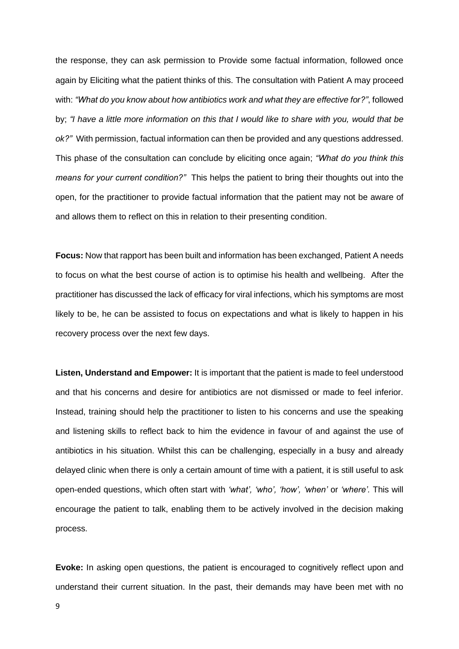the response, they can ask permission to Provide some factual information, followed once again by Eliciting what the patient thinks of this. The consultation with Patient A may proceed with: *"What* do you know about how antibiotics work and what they are effective for*?"*, followed by; *"*I have a little more information on this that I would like to share with you, would that be ok*?"* With permission, factual information can then be provided and any questions addressed. This phase of the consultation can conclude by eliciting once again; *"What do you think this means for your current condition?"* This helps the patient to bring their thoughts out into the open, for the practitioner to provide factual information that the patient may not be aware of and allows them to reflect on this in relation to their presenting condition.

**Focus:** Now that rapport has been built and information has been exchanged, Patient A needs to focus on what the best course of action is to optimise his health and wellbeing. After the practitioner has discussed the lack of efficacy for viral infections, which his symptoms are most likely to be, he can be assisted to focus on expectations and what is likely to happen in his recovery process over the next few days.

**Listen, Understand and Empower:** It is important that the patient is made to feel understood and that his concerns and desire for antibiotics are not dismissed or made to feel inferior. Instead, training should help the practitioner to listen to his concerns and use the speaking and listening skills to reflect back to him the evidence in favour of and against the use of antibiotics in his situation. Whilst this can be challenging, especially in a busy and already delayed clinic when there is only a certain amount of time with a patient, it is still useful to ask open-ended questions, which often start with *'what', 'who', 'how', 'when'* or *'where'.* This will encourage the patient to talk, enabling them to be actively involved in the decision making process.

**Evoke:** In asking open questions, the patient is encouraged to cognitively reflect upon and understand their current situation. In the past, their demands may have been met with no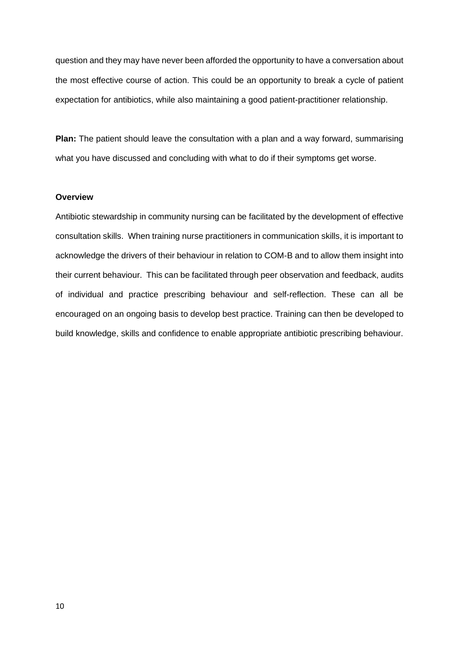question and they may have never been afforded the opportunity to have a conversation about the most effective course of action. This could be an opportunity to break a cycle of patient expectation for antibiotics, while also maintaining a good patient-practitioner relationship.

**Plan:** The patient should leave the consultation with a plan and a way forward, summarising what you have discussed and concluding with what to do if their symptoms get worse.

#### **Overview**

Antibiotic stewardship in community nursing can be facilitated by the development of effective consultation skills. When training nurse practitioners in communication skills, it is important to acknowledge the drivers of their behaviour in relation to COM-B and to allow them insight into their current behaviour. This can be facilitated through peer observation and feedback, audits of individual and practice prescribing behaviour and self-reflection. These can all be encouraged on an ongoing basis to develop best practice. Training can then be developed to build knowledge, skills and confidence to enable appropriate antibiotic prescribing behaviour.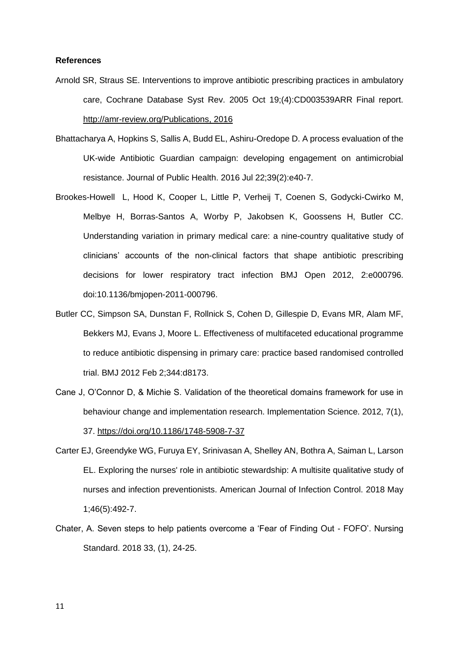#### **References**

- [Arnold SR,](http://www.ncbi.nlm.nih.gov/pubmed/?term=Arnold%20SR%5BAuthor%5D&cauthor=true&cauthor_uid=16235325) [Straus SE.](http://www.ncbi.nlm.nih.gov/pubmed/?term=Straus%20SE%5BAuthor%5D&cauthor=true&cauthor_uid=16235325) Interventions to improve antibiotic prescribing practices in ambulatory care, [Cochrane Database Syst Rev.](http://www.ncbi.nlm.nih.gov/pubmed/16235325) 2005 Oct 19;(4):CD003539ARR Final report. [http://amr-review.org/Publications,](http://amr-review.org/Publications) 2016
- Bhattacharya A, Hopkins S, Sallis A, Budd EL, Ashiru-Oredope D. A process evaluation of the UK-wide Antibiotic Guardian campaign: developing engagement on antimicrobial resistance. Journal of Public Health. 2016 Jul 22;39(2):e40-7.
- [Brookes-Howell](http://bmjopen.bmj.com/search?author1=Lucy+Brookes-Howell&sortspec=date&submit=Submit) L, Hood K, Cooper L, Little P, Verheij T, Coenen S, Godycki-Cwirko M, Melbye H, Borras-Santos A, Worby P, Jakobsen K, Goossens H, Butler CC. Understanding variation in primary medical care: a nine-country qualitative study of clinicians' accounts of the non-clinical factors that shape antibiotic prescribing decisions for lower respiratory tract infection BMJ Open 2012, 2:e000796. doi:10.1136/bmjopen-2011-000796.
- Butler CC, Simpson SA, Dunstan F, Rollnick S, Cohen D, Gillespie D, Evans MR, Alam MF, Bekkers MJ, Evans J, Moore L. Effectiveness of multifaceted educational programme to reduce antibiotic dispensing in primary care: practice based randomised controlled trial. BMJ 2012 Feb 2;344:d8173.
- Cane J, O'Connor D, & Michie S. Validation of the theoretical domains framework for use in behaviour change and implementation research. Implementation Science. 2012, 7(1), 37.<https://doi.org/10.1186/1748-5908-7-37>
- Carter EJ, Greendyke WG, Furuya EY, Srinivasan A, Shelley AN, Bothra A, Saiman L, Larson EL. Exploring the nurses' role in antibiotic stewardship: A multisite qualitative study of nurses and infection preventionists. American Journal of Infection Control. 2018 May 1;46(5):492-7.
- Chater, A. Seven steps to help patients overcome a 'Fear of Finding Out FOFO'. Nursing Standard. 2018 33, (1), 24-25.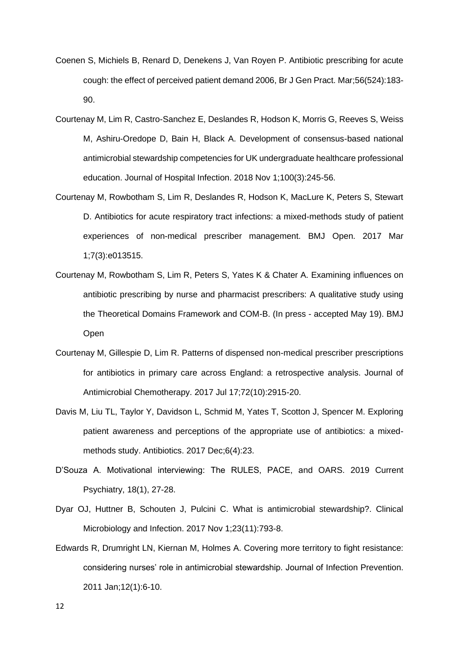- Coenen S, Michiels B, Renard D, Denekens J, Van Royen P. Antibiotic prescribing for acute cough: the effect of perceived patient demand 2006, Br J Gen Pract. Mar;56(524):183- 90.
- Courtenay M, Lim R, Castro-Sanchez E, Deslandes R, Hodson K, Morris G, Reeves S, Weiss M, Ashiru-Oredope D, Bain H, Black A. Development of consensus-based national antimicrobial stewardship competencies for UK undergraduate healthcare professional education. Journal of Hospital Infection. 2018 Nov 1;100(3):245-56.
- Courtenay M, Rowbotham S, Lim R, Deslandes R, Hodson K, MacLure K, Peters S, Stewart D. Antibiotics for acute respiratory tract infections: a mixed-methods study of patient experiences of non-medical prescriber management. BMJ Open. 2017 Mar 1;7(3):e013515.
- Courtenay M, Rowbotham S, Lim R, Peters S, Yates K & Chater A. Examining influences on antibiotic prescribing by nurse and pharmacist prescribers: A qualitative study using the Theoretical Domains Framework and COM-B. (In press - accepted May 19). BMJ **Open**
- Courtenay M, Gillespie D, Lim R. Patterns of dispensed non-medical prescriber prescriptions for antibiotics in primary care across England: a retrospective analysis. Journal of Antimicrobial Chemotherapy. 2017 Jul 17;72(10):2915-20.
- Davis M, Liu TL, Taylor Y, Davidson L, Schmid M, Yates T, Scotton J, Spencer M. Exploring patient awareness and perceptions of the appropriate use of antibiotics: a mixedmethods study. Antibiotics. 2017 Dec;6(4):23.
- D'Souza A. Motivational interviewing: The RULES, PACE, and OARS. 2019 Current Psychiatry, 18(1), 27-28.
- Dyar OJ, Huttner B, Schouten J, Pulcini C. What is antimicrobial stewardship?. Clinical Microbiology and Infection. 2017 Nov 1;23(11):793-8.
- Edwards R, Drumright LN, Kiernan M, Holmes A. Covering more territory to fight resistance: considering nurses' role in antimicrobial stewardship. Journal of Infection Prevention. 2011 Jan;12(1):6-10.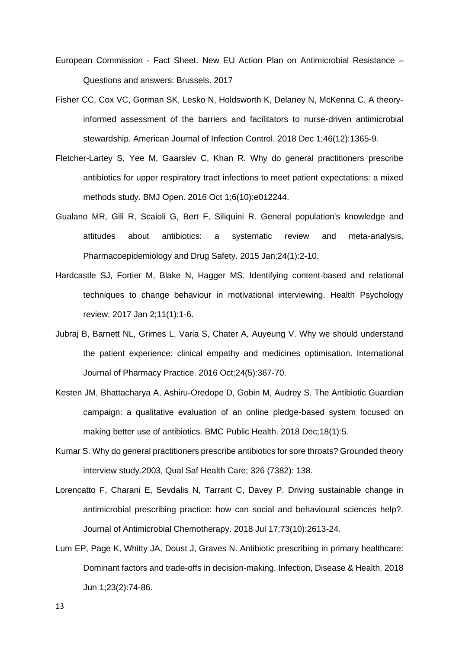- European Commission Fact Sheet. New EU Action Plan on Antimicrobial Resistance Questions and answers: Brussels. 2017
- Fisher CC, Cox VC, Gorman SK, Lesko N, Holdsworth K, Delaney N, McKenna C. A theoryinformed assessment of the barriers and facilitators to nurse-driven antimicrobial stewardship. American Journal of Infection Control. 2018 Dec 1;46(12):1365-9.
- Fletcher-Lartey S, Yee M, Gaarslev C, Khan R. Why do general practitioners prescribe antibiotics for upper respiratory tract infections to meet patient expectations: a mixed methods study. BMJ Open. 2016 Oct 1;6(10):e012244.
- Gualano MR, Gili R, Scaioli G, Bert F, Siliquini R. General population's knowledge and attitudes about antibiotics: a systematic review and meta‐analysis. Pharmacoepidemiology and Drug Safety. 2015 Jan;24(1):2-10.
- Hardcastle SJ, Fortier M, Blake N, Hagger MS. Identifying content-based and relational techniques to change behaviour in motivational interviewing. Health Psychology review. 2017 Jan 2;11(1):1-6.
- Jubraj B, Barnett NL, Grimes L, Varia S, Chater A, Auyeung V. Why we should understand the patient experience: clinical empathy and medicines optimisation. International Journal of Pharmacy Practice. 2016 Oct;24(5):367-70.
- Kesten JM, Bhattacharya A, Ashiru-Oredope D, Gobin M, Audrey S. The Antibiotic Guardian campaign: a qualitative evaluation of an online pledge-based system focused on making better use of antibiotics. BMC Public Health. 2018 Dec;18(1):5.
- Kumar S. Why do general practitioners prescribe antibiotics for sore throats? Grounded theory interview study.2003, Qual Saf Health Care; 326 (7382): 138.
- Lorencatto F, Charani E, Sevdalis N, Tarrant C, Davey P. Driving sustainable change in antimicrobial prescribing practice: how can social and behavioural sciences help?. Journal of Antimicrobial Chemotherapy. 2018 Jul 17;73(10):2613-24.
- Lum EP, Page K, Whitty JA, Doust J, Graves N. Antibiotic prescribing in primary healthcare: Dominant factors and trade-offs in decision-making. Infection, Disease & Health. 2018 Jun 1;23(2):74-86.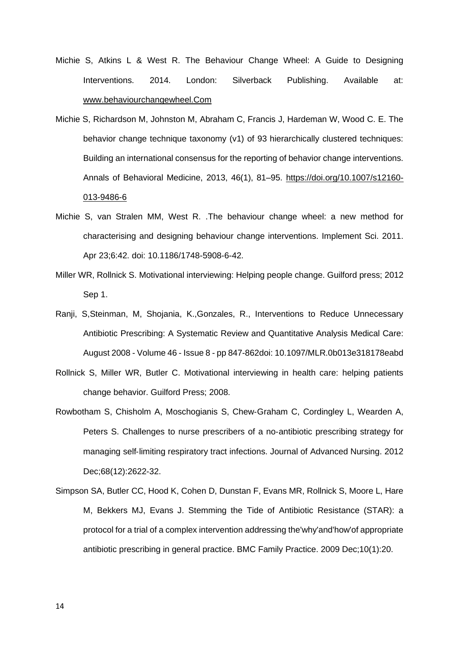- Michie S, Atkins L & West R. The Behaviour Change Wheel: A Guide to Designing Interventions. 2014. London: Silverback Publishing. Available at: [www.behaviourchangewheel.Com](http://www.behaviourchangewheel.com/)
- Michie S, Richardson M, Johnston M, Abraham C, Francis J, Hardeman W, Wood C. E. The behavior change technique taxonomy (v1) of 93 hierarchically clustered techniques: Building an international consensus for the reporting of behavior change interventions. Annals of Behavioral Medicine, 2013, 46(1), 81–95. [https://doi.org/10.1007/s12160-](https://doi.org/10.1007/s12160-013-9486-6) [013-9486-6](https://doi.org/10.1007/s12160-013-9486-6)
- Michie S, van Stralen MM, West R. .The behaviour change wheel: a new method for characterising and designing behaviour change interventions. Implement Sci. 2011. Apr 23;6:42. doi: 10.1186/1748-5908-6-42.
- Miller WR, Rollnick S. Motivational interviewing: Helping people change. Guilford press; 2012 Sep 1.
- Ranji, S,Steinman, M, Shojania, K.,Gonzales, R., Interventions to Reduce Unnecessary Antibiotic Prescribing: A Systematic Review and Quantitative Analysis Medical Care: [August 2008 - Volume 46 - Issue 8 - pp 847-862d](http://journals.lww.com/lww-medicalcare/toc/2008/08000)oi: 10.1097/MLR.0b013e318178eabd
- Rollnick S, Miller WR, Butler C. Motivational interviewing in health care: helping patients change behavior. Guilford Press; 2008.
- Rowbotham S, Chisholm A, Moschogianis S, Chew‐Graham C, Cordingley L, Wearden A, Peters S. Challenges to nurse prescribers of a no‐antibiotic prescribing strategy for managing self‐limiting respiratory tract infections. Journal of Advanced Nursing. 2012 Dec;68(12):2622-32.
- Simpson SA, Butler CC, Hood K, Cohen D, Dunstan F, Evans MR, Rollnick S, Moore L, Hare M, Bekkers MJ, Evans J. Stemming the Tide of Antibiotic Resistance (STAR): a protocol for a trial of a complex intervention addressing the'why'and'how'of appropriate antibiotic prescribing in general practice. BMC Family Practice. 2009 Dec;10(1):20.